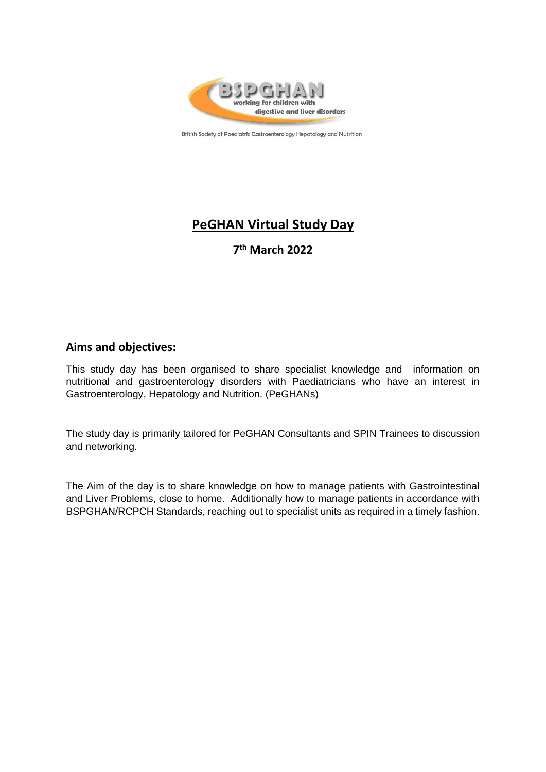

British Society of Paediatric Gastroenterology Hepatology and Nutrition

# **PeGHAN Virtual Study Day**

**7 th March 2022**

### **Aims and objectives:**

This study day has been organised to share specialist knowledge and information on nutritional and gastroenterology disorders with Paediatricians who have an interest in Gastroenterology, Hepatology and Nutrition. (PeGHANs)

The study day is primarily tailored for PeGHAN Consultants and SPIN Trainees to discussion and networking.

The Aim of the day is to share knowledge on how to manage patients with Gastrointestinal and Liver Problems, close to home. Additionally how to manage patients in accordance with BSPGHAN/RCPCH Standards, reaching out to specialist units as required in a timely fashion.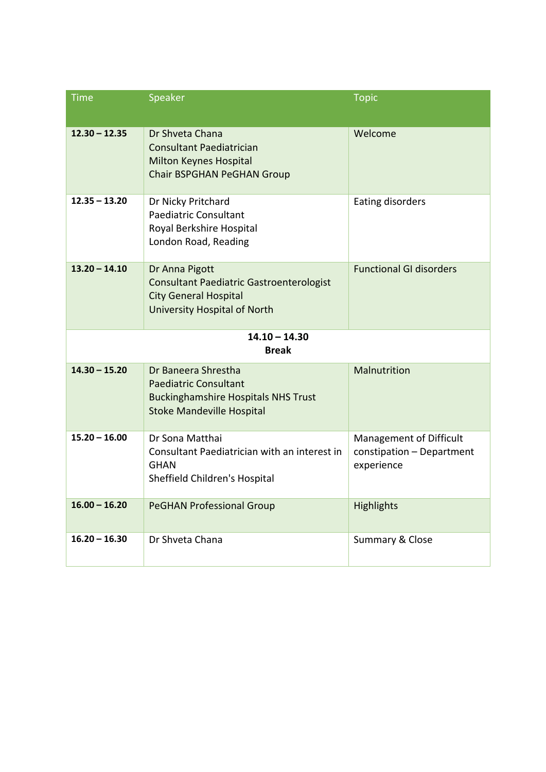| <b>Time</b>                     | Speaker                                                                                                                               | <b>Topic</b>                                                       |
|---------------------------------|---------------------------------------------------------------------------------------------------------------------------------------|--------------------------------------------------------------------|
| $12.30 - 12.35$                 | Dr Shveta Chana<br><b>Consultant Paediatrician</b><br>Milton Keynes Hospital<br>Chair BSPGHAN PeGHAN Group                            | Welcome                                                            |
| $12.35 - 13.20$                 | Dr Nicky Pritchard<br><b>Paediatric Consultant</b><br>Royal Berkshire Hospital<br>London Road, Reading                                | Eating disorders                                                   |
| $13.20 - 14.10$                 | Dr Anna Pigott<br><b>Consultant Paediatric Gastroenterologist</b><br><b>City General Hospital</b><br>University Hospital of North     | <b>Functional GI disorders</b>                                     |
| $14.10 - 14.30$<br><b>Break</b> |                                                                                                                                       |                                                                    |
| $14.30 - 15.20$                 | Dr Baneera Shrestha<br><b>Paediatric Consultant</b><br><b>Buckinghamshire Hospitals NHS Trust</b><br><b>Stoke Mandeville Hospital</b> | Malnutrition                                                       |
| $15.20 - 16.00$                 | Dr Sona Matthai<br>Consultant Paediatrician with an interest in<br><b>GHAN</b><br>Sheffield Children's Hospital                       | Management of Difficult<br>constipation - Department<br>experience |
| $16.00 - 16.20$                 | <b>PeGHAN Professional Group</b>                                                                                                      | Highlights                                                         |
| $16.20 - 16.30$                 | Dr Shveta Chana                                                                                                                       | Summary & Close                                                    |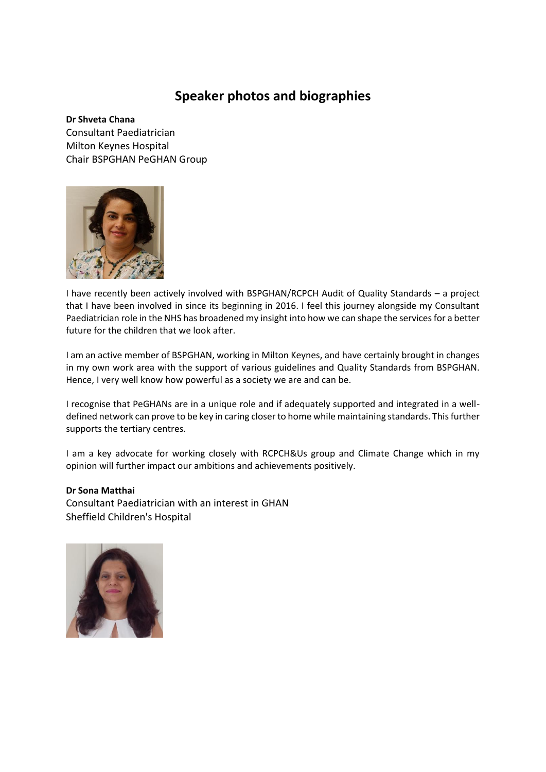## **Speaker photos and biographies**

**Dr Shveta Chana** Consultant Paediatrician Milton Keynes Hospital Chair BSPGHAN PeGHAN Group



I have recently been actively involved with BSPGHAN/RCPCH Audit of Quality Standards – a project that I have been involved in since its beginning in 2016. I feel this journey alongside my Consultant Paediatrician role in the NHS has broadened my insight into how we can shape the services for a better future for the children that we look after.

I am an active member of BSPGHAN, working in Milton Keynes, and have certainly brought in changes in my own work area with the support of various guidelines and Quality Standards from BSPGHAN. Hence, I very well know how powerful as a society we are and can be.

I recognise that PeGHANs are in a unique role and if adequately supported and integrated in a welldefined network can prove to be key in caring closer to home while maintaining standards. This further supports the tertiary centres.

I am a key advocate for working closely with RCPCH&Us group and Climate Change which in my opinion will further impact our ambitions and achievements positively.

#### **Dr Sona Matthai**

Consultant Paediatrician with an interest in GHAN Sheffield Children's Hospital

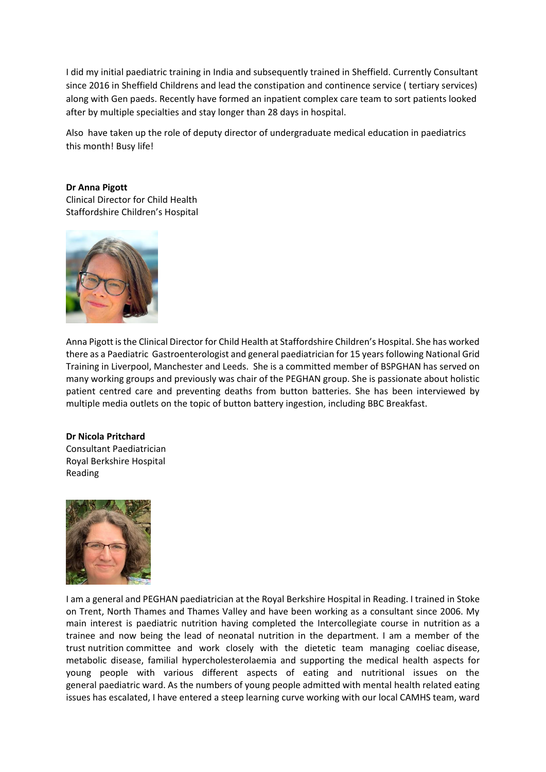I did my initial paediatric training in India and subsequently trained in Sheffield. Currently Consultant since 2016 in Sheffield Childrens and lead the constipation and continence service ( tertiary services) along with Gen paeds. Recently have formed an inpatient complex care team to sort patients looked after by multiple specialties and stay longer than 28 days in hospital.

Also have taken up the role of deputy director of undergraduate medical education in paediatrics this month! Busy life!

#### **Dr Anna Pigott**

Clinical Director for Child Health Staffordshire Children's Hospital



Anna Pigott is the Clinical Director for Child Health at Staffordshire Children's Hospital. She has worked there as a Paediatric Gastroenterologist and general paediatrician for 15 years following National Grid Training in Liverpool, Manchester and Leeds. She is a committed member of BSPGHAN has served on many working groups and previously was chair of the PEGHAN group. She is passionate about holistic patient centred care and preventing deaths from button batteries. She has been interviewed by multiple media outlets on the topic of button battery ingestion, including BBC Breakfast.

#### **Dr Nicola Pritchard**

Consultant Paediatrician Royal Berkshire Hospital Reading



I am a general and PEGHAN paediatrician at the Royal Berkshire Hospital in Reading. I trained in Stoke on Trent, North Thames and Thames Valley and have been working as a consultant since 2006. My main interest is paediatric nutrition having completed the Intercollegiate course in nutrition as a trainee and now being the lead of neonatal nutrition in the department. I am a member of the trust nutrition committee and work closely with the dietetic team managing coeliac disease, metabolic disease, familial hypercholesterolaemia and supporting the medical health aspects for young people with various different aspects of eating and nutritional issues on the general paediatric ward. As the numbers of young people admitted with mental health related eating issues has escalated, I have entered a steep learning curve working with our local CAMHS team, ward